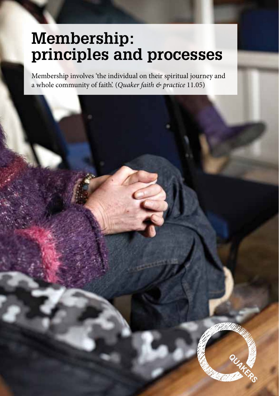## **Membership: principles and processes**

Membership involves 'the individual on their spiritual journey and a whole community of faith'. (*Quaker faith & practice* 11.05)

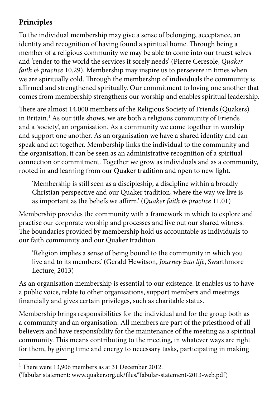## **Principles**

To the individual membership may give a sense of belonging, acceptance, an identity and recognition of having found a spiritual home. Through being a member of a religious community we may be able to come into our truest selves and 'render to the world the services it sorely needs' (Pierre Ceresole, *Quaker faith & practice* 10.29). Membership may inspire us to persevere in times when we are spiritually cold. Through the membership of individuals the community is affirmed and strengthened spiritually. Our commitment to loving one another that comes from membership strengthens our worship and enables spiritual leadership.

There are almost 14,000 members of the Religious Society of Friends (Quakers) in Britain.<sup>1</sup> As our title shows, we are both a religious community of Friends and a 'society', an organisation. As a community we come together in worship and support one another. As an organisation we have a shared identity and can speak and act together. Membership links the individual to the community and the organisation; it can be seen as an administrative recognition of a spiritual connection or commitment. Together we grow as individuals and as a community, rooted in and learning from our Quaker tradition and open to new light.

'Membership is still seen as a discipleship, a discipline within a broadly Christian perspective and our Quaker tradition, where the way we live is as important as the beliefs we affirm.' (*Quaker faith & practice* 11.01)

Membership provides the community with a framework in which to explore and practise our corporate worship and processes and live out our shared witness. The boundaries provided by membership hold us accountable as individuals to our faith community and our Quaker tradition.

'Religion implies a sense of being bound to the community in which you live and to its members.' (Gerald Hewitson, *Journey into life*, Swarthmore Lecture, 2013)

As an organisation membership is essential to our existence. It enables us to have a public voice, relate to other organisations, support members and meetings financially and gives certain privileges, such as charitable status.

Membership brings responsibilities for the individual and for the group both as a community and an organisation. All members are part of the priesthood of all believers and have responsibility for the maintenance of the meeting as a spiritual community. This means contributing to the meeting, in whatever ways are right for them, by giving time and energy to necessary tasks, participating in making

<sup>&</sup>lt;sup>1</sup> There were 13,906 members as at 31 December 2012.

<sup>(</sup>Tabular statement: www.quaker.org.uk/files/Tabular-statement-2013-web.pdf)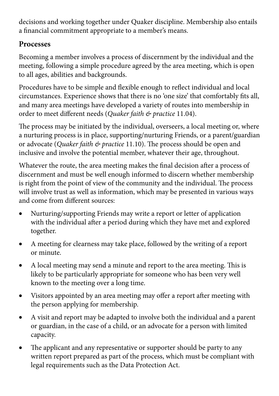decisions and working together under Quaker discipline. Membership also entails a financial commitment appropriate to a member's means.

## **Processes**

Becoming a member involves a process of discernment by the individual and the meeting, following a simple procedure agreed by the area meeting, which is open to all ages, abilities and backgrounds.

Procedures have to be simple and flexible enough to reflect individual and local circumstances. Experience shows that there is no 'one size' that comfortably fits all, and many area meetings have developed a variety of routes into membership in order to meet different needs (*Quaker faith & practice* 11.04).

The process may be initiated by the individual, overseers, a local meeting or, where a nurturing process is in place, supporting/nurturing Friends, or a parent/guardian or advocate (*Quaker faith & practice* 11.10). The process should be open and inclusive and involve the potential member, whatever their age, throughout.

Whatever the route, the area meeting makes the final decision after a process of discernment and must be well enough informed to discern whether membership is right from the point of view of the community and the individual. The process will involve trust as well as information, which may be presented in various ways and come from different sources:

- Nurturing/supporting Friends may write a report or letter of application with the individual after a period during which they have met and explored together.
- A meeting for clearness may take place, followed by the writing of a report or minute.
- • A local meeting may send a minute and report to the area meeting. This is likely to be particularly appropriate for someone who has been very well known to the meeting over a long time.
- Visitors appointed by an area meeting may offer a report after meeting with the person applying for membership.
- A visit and report may be adapted to involve both the individual and a parent or guardian, in the case of a child, or an advocate for a person with limited capacity.
- The applicant and any representative or supporter should be party to any written report prepared as part of the process, which must be compliant with legal requirements such as the Data Protection Act.